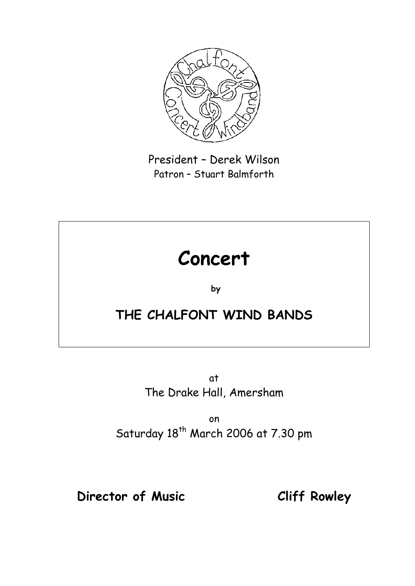

President – Derek Wilson Patron – Stuart Balmforth

# **Concert**

**by** 

## **THE CHALFONT WIND BANDS**

at The Drake Hall, Amersham

on Saturday 18<sup>th</sup> March 2006 at 7.30 pm

## **Director of Music Cliff Rowley**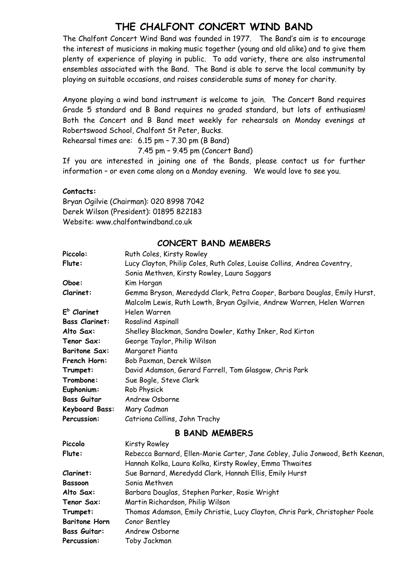#### **THE CHALFONT CONCERT WIND BAND**

The Chalfont Concert Wind Band was founded in 1977. The Band's aim is to encourage the interest of musicians in making music together (young and old alike) and to give them plenty of experience of playing in public. To add variety, there are also instrumental ensembles associated with the Band. The Band is able to serve the local community by playing on suitable occasions, and raises considerable sums of money for charity.

Anyone playing a wind band instrument is welcome to join. The Concert Band requires Grade 5 standard and B Band requires no graded standard, but lots of enthusiasm! Both the Concert and B Band meet weekly for rehearsals on Monday evenings at Robertswood School, Chalfont St Peter, Bucks.

Rehearsal times are: 6.15 pm – 7.30 pm (B Band)

7.45 pm – 9.45 pm (Concert Band)

If you are interested in joining one of the Bands, please contact us for further information – or even come along on a Monday evening. We would love to see you.

#### **Contacts:**

Bryan Ogilvie (Chairman): 020 8998 7042 Derek Wilson (President): 01895 822183 Website: www.chalfontwindband.co.uk

#### **CONCERT BAND MEMBERS**

| Piccolo:              | Ruth Coles, Kirsty Rowley                                                     |
|-----------------------|-------------------------------------------------------------------------------|
| Flute:                | Lucy Clayton, Philip Coles, Ruth Coles, Louise Collins, Andrea Coventry,      |
|                       | Sonia Methven, Kirsty Rowley, Laura Saggars                                   |
| Oboe:                 | Kim Horgan                                                                    |
| Clarinet:             | Gemma Bryson, Meredydd Clark, Petra Cooper, Barbara Douglas, Emily Hurst,     |
|                       | Malcolm Lewis, Ruth Lowth, Bryan Ogilvie, Andrew Warren, Helen Warren         |
| $Eb$ Clarinet         | Helen Warren                                                                  |
| <b>Bass Clarinet:</b> | Rosalind Aspinall                                                             |
| Alto Sax:             | Shelley Blackman, Sandra Dowler, Kathy Inker, Rod Kirton                      |
| Tenor Sax:            | George Taylor, Philip Wilson                                                  |
| <b>Baritone Sax:</b>  | Margaret Pianta                                                               |
| French Horn:          | Bob Paxman, Derek Wilson                                                      |
| Trumpet:              | David Adamson, Gerard Farrell, Tom Glasgow, Chris Park                        |
| Trombone:             | Sue Bogle, Steve Clark                                                        |
| Euphonium:            | Rob Physick                                                                   |
| <b>Bass Guitar</b>    | Andrew Osborne                                                                |
| <b>Keyboard Bass:</b> | Mary Cadman                                                                   |
| Percussion:           | Catriona Collins, John Trachy                                                 |
|                       | <b>B BAND MEMBERS</b>                                                         |
| Piccolo               | <b>Kirsty Rowley</b>                                                          |
| Flute:                | Rebecca Barnard, Ellen-Marie Carter, Jane Cobley, Julia Jonwood, Beth Keenan, |
|                       | Hannah Kolka, Laura Kolka, Kirsty Rowley, Emma Thwaites                       |
| Clarinet:             | Sue Barnard, Meredydd Clark, Hannah Ellis, Emily Hurst                        |
| <b>Bassoon</b>        | Sonia Methven                                                                 |
| Alto Sax:             | Barbara Douglas, Stephen Parker, Rosie Wright                                 |
| Tenor Sax:            | Martin Richardson, Philip Wilson                                              |
| Trumpet:              | Thomas Adamson, Emily Christie, Lucy Clayton, Chris Park, Christopher Poole   |
| <b>Baritone Horn</b>  | Conor Bentley                                                                 |
| <b>Bass Guitar:</b>   | Andrew Osborne                                                                |
| Percussion:           | Toby Jackman                                                                  |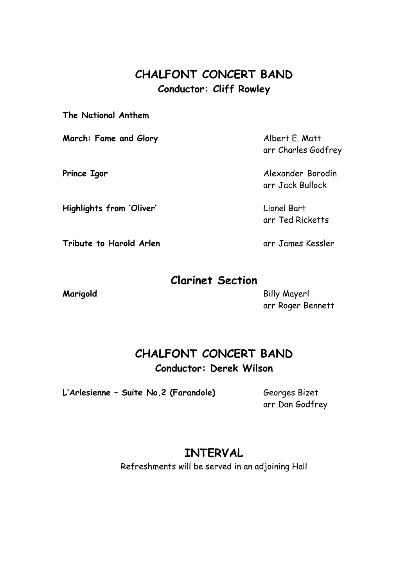#### **CHALFONT CONCERT BAND Conductor: Cliff Rowley**

**The National Anthem**

**March: Fame and Glory** Albert E. Matt

**Highlights from 'Oliver'** Lionel Bart

**Tribute to Harold Arlen** and the same arr James Kessler

arr Charles Godfrey

**Prince Igor Alexander Borodin** arr Jack Bullock

arr Ted Ricketts

#### **Clarinet Section**

**Marigold** Billy Mayerl arr Roger Bennett

#### **CHALFONT CONCERT BAND Conductor: Derek Wilson**

**L'Arlesienne – Suite No.2 (Farandole)** Georges Bizet

arr Dan Godfrey

### **INTERVAL**

Refreshments will be served in an adjoining Hall